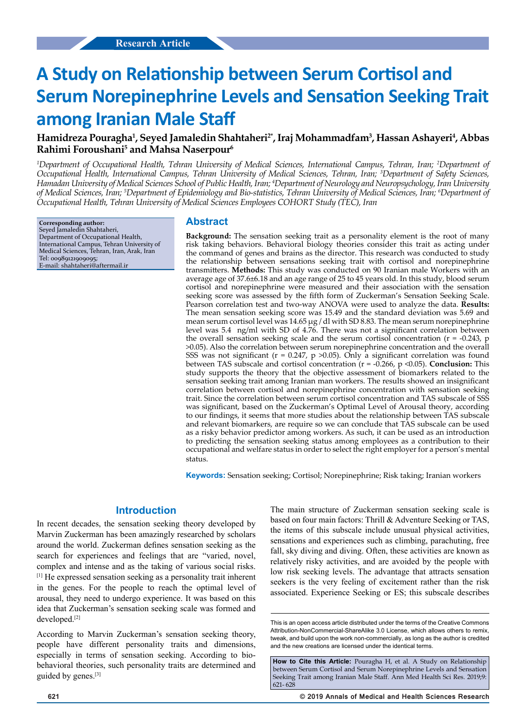# **A Study on Relationship between Serum Cortisol and Serum Norepinephrine Levels and Sensation Seeking Trait among Iranian Male Staff**

# **Hamidreza Pouragha1 , Seyed Jamaledin Shahtaheri2\*, Iraj Mohammadfam3 , Hassan Ashayeri4 , Abbas Rahimi Foroushani5 and Mahsa Naserpour6**

*1 Department of Occupational Health, Tehran University of Medical Sciences, International Campus, Tehran, Iran; 2 Department of Occupational Health, International Campus, Tehran University of Medical Sciences, Tehran, Iran; 3 Department of Safety Sciences, Hamadan University of Medical Sciences School of Public Health, Iran; 4 Department of Neurology and Neuropsychology, Iran University of Medical Sciences, Iran; 5 Department of Epidemiology and Bio-statistics, Tehran University of Medical Sciences, Iran; 6 Department of Occupational Health, Tehran University of Medical Sciences Employees COHORT Study (TEC), Iran*

**Corresponding author:** Seyed Jamaledin Shahtaheri, Department of Occupational Health, International Campus, Tehran University of Medical Sciences, Tehran, Iran, Arak, Iran Tel: 00989121909095; E-mail: shahtaheri@aftermail.ir

# **Abstract**

**Background:** The sensation seeking trait as a personality element is the root of many risk taking behaviors. Behavioral biology theories consider this trait as acting under the command of genes and brains as the director. This research was conducted to study the relationship between sensations seeking trait with cortisol and norepinephrine transmitters. **Methods:** This study was conducted on 90 Iranian male Workers with an average age of 37.6±6.18 and an age range of 25 to 45 years old. In this study, blood serum cortisol and norepinephrine were measured and their association with the sensation seeking score was assessed by the fifth form of Zuckerman's Sensation Seeking Scale. Pearson correlation test and two-way ANOVA were used to analyze the data. **Results:**  The mean sensation seeking score was 15.49 and the standard deviation was 5.69 and mean serum cortisol level was  $14.65 \mu g$  / dl with SD 8.83. The mean serum norepinephrine level was 5.4 ng/ml with SD of 4.76. There was not a significant correlation between the overall sensation seeking scale and the serum cortisol concentration ( $r = -0.243$ , p >0.05). Also the correlation between serum norepinephrine concentration and the overall SSS was not significant ( $r = 0.247$ ,  $p > 0.05$ ). Only a significant correlation was found between TAS subscale and cortisol concentration (r = -0.266, p <0.05). **Conclusion:** This study supports the theory that the objective assessment of biomarkers related to the sensation seeking trait among Iranian man workers. The results showed an insignificant correlation between cortisol and norepinephrine concentration with sensation seeking trait. Since the correlation between serum cortisol concentration and TAS subscale of SSS was significant, based on the Zuckerman's Optimal Level of Arousal theory, according to our findings, it seems that more studies about the relationship between TAS subscale and relevant biomarkers, are require so we can conclude that TAS subscale can be used as a risky behavior predictor among workers. As such, it can be used as an introduction to predicting the sensation seeking status among employees as a contribution to their occupational and welfare status in order to select the right employer for a person's mental status.

**Keywords:** Sensation seeking; Cortisol; Norepinephrine; Risk taking; Iranian workers

#### **Introduction**

In recent decades, the sensation seeking theory developed by Marvin Zuckerman has been amazingly researched by scholars around the world. Zuckerman defines sensation seeking as the search for experiences and feelings that are "varied, novel, complex and intense and as the taking of various social risks. [1] He expressed sensation seeking as a personality trait inherent in the genes. For the people to reach the optimal level of arousal, they need to undergo experience. It was based on this idea that Zuckerman's sensation seeking scale was formed and developed.[2]

According to Marvin Zuckerman's sensation seeking theory, people have different personality traits and dimensions, especially in terms of sensation seeking. According to biobehavioral theories, such personality traits are determined and guided by genes.[3]

The main structure of Zuckerman sensation seeking scale is based on four main factors: Thrill & Adventure Seeking or TAS, the items of this subscale include unusual physical activities, sensations and experiences such as climbing, parachuting, free fall, sky diving and diving. Often, these activities are known as relatively risky activities, and are avoided by the people with low risk seeking levels. The advantage that attracts sensation seekers is the very feeling of excitement rather than the risk associated. Experience Seeking or ES; this subscale describes

This is an open access article distributed under the terms of the Creative Commons Attribution-NonCommercial-ShareAlike 3.0 License, which allows others to remix, tweak, and build upon the work non‑commercially, as long as the author is credited and the new creations are licensed under the identical terms.

How to Cite this Article: Pouragha H, et al. A Study on Relationship between Serum Cortisol and Serum Norepinephrine Levels and Sensation Seeking Trait among Iranian Male Staff. Ann Med Health Sci Res. 2019;9: 621- 628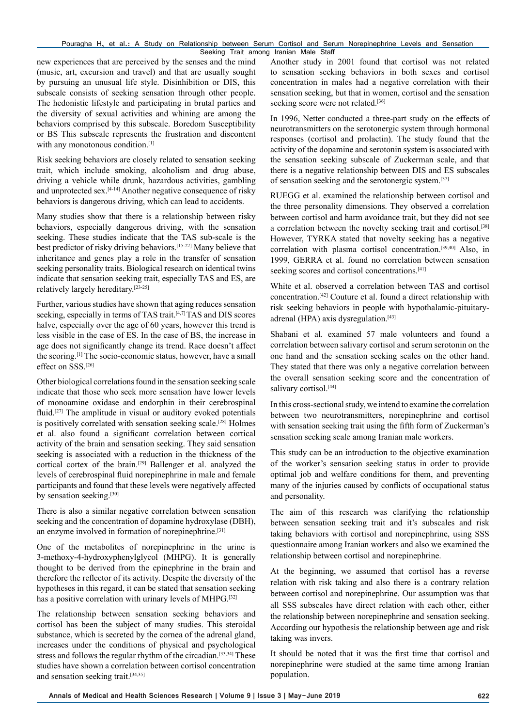#### Pouragha H, et al.: A Study on Relationship between Serum Cortisol and Serum Norepinephrine Levels and Sensation Seeking Trait among Iranian Male Staff

new experiences that are perceived by the senses and the mind (music, art, excursion and travel) and that are usually sought by pursuing an unusual life style. Disinhibition or DIS, this subscale consists of seeking sensation through other people. The hedonistic lifestyle and participating in brutal parties and the diversity of sexual activities and whining are among the behaviors comprised by this subscale. Boredom Susceptibility or BS This subscale represents the frustration and discontent with any monotonous condition.<sup>[1]</sup>

Risk seeking behaviors are closely related to sensation seeking trait, which include smoking, alcoholism and drug abuse, driving a vehicle while drunk, hazardous activities, gambling and unprotected sex.[4-14] Another negative consequence of risky behaviors is dangerous driving, which can lead to accidents.

Many studies show that there is a relationship between risky behaviors, especially dangerous driving, with the sensation seeking. These studies indicate that the TAS sub-scale is the best predictor of risky driving behaviors.[15-22] Many believe that inheritance and genes play a role in the transfer of sensation seeking personality traits. Biological research on identical twins indicate that sensation seeking trait, especially TAS and ES, are relatively largely hereditary.[23-25]

Further, various studies have shown that aging reduces sensation seeking, especially in terms of TAS trait.<sup>[4,7]</sup> TAS and DIS scores halve, especially over the age of 60 years, however this trend is less visible in the case of ES. In the case of BS, the increase in age does not significantly change its trend. Race doesn't affect the scoring.[1] The socio-economic status, however, have a small effect on SSS.[26]

Other biological correlations found in the sensation seeking scale indicate that those who seek more sensation have lower levels of monoamine oxidase and endorphin in their cerebrospinal fluid.<sup>[27]</sup> The amplitude in visual or auditory evoked potentials is positively correlated with sensation seeking scale.<sup>[28]</sup> Holmes et al. also found a significant correlation between cortical activity of the brain and sensation seeking. They said sensation seeking is associated with a reduction in the thickness of the cortical cortex of the brain.[29] Ballenger et al. analyzed the levels of cerebrospinal fluid norepinephrine in male and female participants and found that these levels were negatively affected by sensation seeking.<sup>[30]</sup>

There is also a similar negative correlation between sensation seeking and the concentration of dopamine hydroxylase (DBH), an enzyme involved in formation of norepinephrine.<sup>[31]</sup>

One of the metabolites of norepinephrine in the urine is 3-methoxy-4-hydroxyphenylglycol (MHPG). It is generally thought to be derived from the epinephrine in the brain and therefore the reflector of its activity. Despite the diversity of the hypotheses in this regard, it can be stated that sensation seeking has a positive correlation with urinary levels of MHPG.<sup>[32]</sup>

The relationship between sensation seeking behaviors and cortisol has been the subject of many studies. This steroidal substance, which is secreted by the cornea of the adrenal gland, increases under the conditions of physical and psychological stress and follows the regular rhythm of the circadian.<sup>[33,34]</sup> These studies have shown a correlation between cortisol concentration and sensation seeking trait.[34,35]

Another study in 2001 found that cortisol was not related to sensation seeking behaviors in both sexes and cortisol concentration in males had a negative correlation with their sensation seeking, but that in women, cortisol and the sensation seeking score were not related.<sup>[36]</sup>

In 1996, Netter conducted a three-part study on the effects of neurotransmitters on the serotonergic system through hormonal responses (cortisol and prolactin). The study found that the activity of the dopamine and serotonin system is associated with the sensation seeking subscale of Zuckerman scale, and that there is a negative relationship between DIS and ES subscales of sensation seeking and the serotonergic system.[37]

RUEGG et al. examined the relationship between cortisol and the three personality dimensions. They observed a correlation between cortisol and harm avoidance trait, but they did not see a correlation between the novelty seeking trait and cortisol.[38] However, TYRKA stated that novelty seeking has a negative correlation with plasma cortisol concentration.[39,40] Also, in 1999, GERRA et al. found no correlation between sensation seeking scores and cortisol concentrations.<sup>[41]</sup>

White et al. observed a correlation between TAS and cortisol concentration.[42] Couture et al. found a direct relationship with risk seeking behaviors in people with hypothalamic-pituitaryadrenal (HPA) axis dysregulation.<sup>[43]</sup>

Shabani et al. examined 57 male volunteers and found a correlation between salivary cortisol and serum serotonin on the one hand and the sensation seeking scales on the other hand. They stated that there was only a negative correlation between the overall sensation seeking score and the concentration of salivary cortisol.<sup>[44]</sup>

In this cross-sectional study, we intend to examine the correlation between two neurotransmitters, norepinephrine and cortisol with sensation seeking trait using the fifth form of Zuckerman's sensation seeking scale among Iranian male workers.

This study can be an introduction to the objective examination of the worker's sensation seeking status in order to provide optimal job and welfare conditions for them, and preventing many of the injuries caused by conflicts of occupational status and personality.

The aim of this research was clarifying the relationship between sensation seeking trait and it's subscales and risk taking behaviors with cortisol and norepinephrine, using SSS questionnaire among Iranian workers and also we examined the relationship between cortisol and norepinephrine.

At the beginning, we assumed that cortisol has a reverse relation with risk taking and also there is a contrary relation between cortisol and norepinephrine. Our assumption was that all SSS subscales have direct relation with each other, either the relationship between norepinephrine and sensation seeking. According our hypothesis the relationship between age and risk taking was invers.

It should be noted that it was the first time that cortisol and norepinephrine were studied at the same time among Iranian population.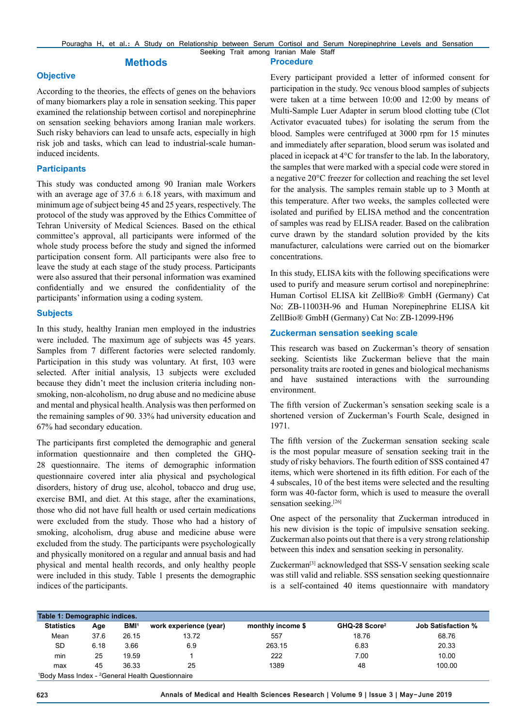**Procedure**

# **Methods**

#### **Objective**

According to the theories, the effects of genes on the behaviors of many biomarkers play a role in sensation seeking. This paper examined the relationship between cortisol and norepinephrine on sensation seeking behaviors among Iranian male workers. Such risky behaviors can lead to unsafe acts, especially in high risk job and tasks, which can lead to industrial-scale humaninduced incidents.

#### **Participants**

This study was conducted among 90 Iranian male Workers with an average age of  $37.6 \pm 6.18$  years, with maximum and minimum age of subject being 45 and 25 years, respectively. The protocol of the study was approved by the Ethics Committee of Tehran University of Medical Sciences. Based on the ethical committee's approval, all participants were informed of the whole study process before the study and signed the informed participation consent form. All participants were also free to leave the study at each stage of the study process. Participants were also assured that their personal information was examined confidentially and we ensured the confidentiality of the participants' information using a coding system.

#### **Subjects**

In this study, healthy Iranian men employed in the industries were included. The maximum age of subjects was 45 years. Samples from 7 different factories were selected randomly. Participation in this study was voluntary. At first, 103 were selected. After initial analysis, 13 subjects were excluded because they didn't meet the inclusion criteria including nonsmoking, non-alcoholism, no drug abuse and no medicine abuse and mental and physical health. Analysis was then performed on the remaining samples of 90. 33% had university education and 67% had secondary education.

The participants first completed the demographic and general information questionnaire and then completed the GHQ-28 questionnaire. The items of demographic information questionnaire covered inter alia physical and psychological disorders, history of drug use, alcohol, tobacco and drug use, exercise BMI, and diet. At this stage, after the examinations, those who did not have full health or used certain medications were excluded from the study. Those who had a history of smoking, alcoholism, drug abuse and medicine abuse were excluded from the study. The participants were psychologically and physically monitored on a regular and annual basis and had physical and mental health records, and only healthy people were included in this study. Table 1 presents the demographic indices of the participants.

Every participant provided a letter of informed consent for participation in the study. 9cc venous blood samples of subjects were taken at a time between 10:00 and 12:00 by means of Multi-Sample Luer Adapter in serum blood clotting tube (Clot Activator evacuated tubes) for isolating the serum from the blood. Samples were centrifuged at 3000 rpm for 15 minutes and immediately after separation, blood serum was isolated and placed in icepack at 4°C for transfer to the lab. In the laboratory, the samples that were marked with a special code were stored in a negative 20°C freezer for collection and reaching the set level for the analysis. The samples remain stable up to 3 Month at this temperature. After two weeks, the samples collected were isolated and purified by ELISA method and the concentration of samples was read by ELISA reader. Based on the calibration curve drawn by the standard solution provided by the kits manufacturer, calculations were carried out on the biomarker concentrations.

In this study, ELISA kits with the following specifications were used to purify and measure serum cortisol and norepinephrine: Human Cortisol ELISA kit ZellBio® GmbH (Germany) Cat No: ZB-11003H-96 and Human Norepinephrine ELISA kit ZellBio® GmbH (Germany) Cat No: ZB-12099-H96

#### **Zuckerman sensation seeking scale**

This research was based on Zuckerman's theory of sensation seeking. Scientists like Zuckerman believe that the main personality traits are rooted in genes and biological mechanisms and have sustained interactions with the surrounding environment.

The fifth version of Zuckerman's sensation seeking scale is a shortened version of Zuckerman's Fourth Scale, designed in 1971.

The fifth version of the Zuckerman sensation seeking scale is the most popular measure of sensation seeking trait in the study of risky behaviors. The fourth edition of SSS contained 47 items, which were shortened in its fifth edition. For each of the 4 subscales, 10 of the best items were selected and the resulting form was 40-factor form, which is used to measure the overall sensation seeking.[26]

One aspect of the personality that Zuckerman introduced in his new division is the topic of impulsive sensation seeking. Zuckerman also points out that there is a very strong relationship between this index and sensation seeking in personality.

Zuckerman<sup>[3]</sup> acknowledged that SSS-V sensation seeking scale was still valid and reliable. SSS sensation seeking questionnaire is a self-contained 40 items questionnaire with mandatory

| Table 1: Demographic indices. |      |                         |                                                |                   |                           |                           |  |  |  |  |
|-------------------------------|------|-------------------------|------------------------------------------------|-------------------|---------------------------|---------------------------|--|--|--|--|
| <b>Statistics</b>             | Age  | <b>BMI</b> <sup>1</sup> | work experience (year)                         | monthly income \$ | GHQ-28 Score <sup>2</sup> | <b>Job Satisfaction %</b> |  |  |  |  |
| Mean                          | 37.6 | 26.15                   | 13.72                                          | 557               | 18.76                     | 68.76                     |  |  |  |  |
| SD                            | 6.18 | 3.66                    | 6.9                                            | 263.15            | 6.83                      | 20.33                     |  |  |  |  |
| min                           | 25   | 19.59                   |                                                | 222               | 7.00                      | 10.00                     |  |  |  |  |
| max                           | 45   | 36.33                   | 25                                             | 1389              | 48                        | 100.00                    |  |  |  |  |
|                               |      |                         | 180dy Mass Indox 200poral Hoalth Questionnaire |                   |                           |                           |  |  |  |  |

<sup>1</sup>Body Mass Index - <sup>2</sup>General Health Questionnaire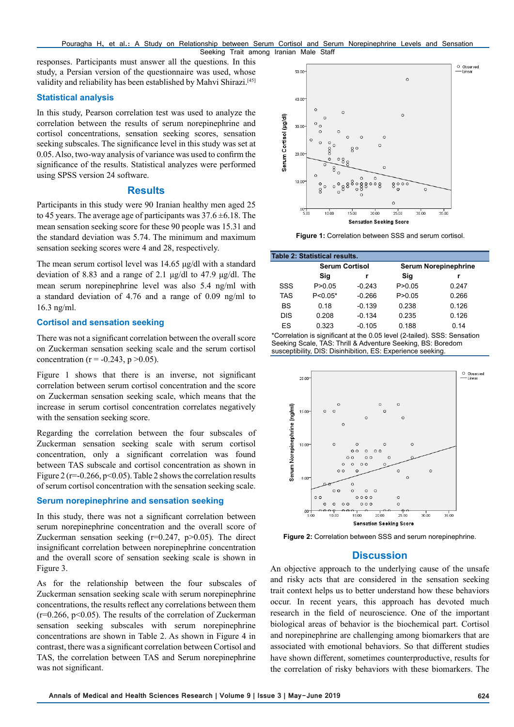responses. Participants must answer all the questions. In this study, a Persian version of the questionnaire was used, whose validity and reliability has been established by Mahvi Shirazi.<sup>[45]</sup>

#### **Statistical analysis**

In this study, Pearson correlation test was used to analyze the correlation between the results of serum norepinephrine and cortisol concentrations, sensation seeking scores, sensation seeking subscales. The significance level in this study was set at 0.05. Also, two-way analysis of variance was used to confirm the significance of the results. Statistical analyzes were performed using SPSS version 24 software.

### **Results**

Participants in this study were 90 Iranian healthy men aged 25 to 45 years. The average age of participants was  $37.6 \pm 6.18$ . The mean sensation seeking score for these 90 people was 15.31 and the standard deviation was 5.74. The minimum and maximum sensation seeking scores were 4 and 28, respectively.

The mean serum cortisol level was 14.65 μg/dl with a standard deviation of 8.83 and a range of 2.1 μg/dl to 47.9 μg/dl. The mean serum norepinephrine level was also 5.4 ng/ml with a standard deviation of 4.76 and a range of 0.09 ng/ml to 16.3 ng/ml.

### **Cortisol and sensation seeking**

There was not a significant correlation between the overall score on Zuckerman sensation seeking scale and the serum cortisol concentration ( $r = -0.243$ ,  $p > 0.05$ ).

Figure 1 shows that there is an inverse, not significant correlation between serum cortisol concentration and the score on Zuckerman sensation seeking scale, which means that the increase in serum cortisol concentration correlates negatively with the sensation seeking score.

Regarding the correlation between the four subscales of Zuckerman sensation seeking scale with serum cortisol concentration, only a significant correlation was found between TAS subscale and cortisol concentration as shown in Figure 2 ( $r=-0.266$ ,  $p<0.05$ ). Table 2 shows the correlation results of serum cortisol concentration with the sensation seeking scale.

### **Serum norepinephrine and sensation seeking**

In this study, there was not a significant correlation between serum norepinephrine concentration and the overall score of Zuckerman sensation seeking  $(r=0.247, p>0.05)$ . The direct insignificant correlation between norepinephrine concentration and the overall score of sensation seeking scale is shown in Figure 3.

As for the relationship between the four subscales of Zuckerman sensation seeking scale with serum norepinephrine concentrations, the results reflect any correlations between them  $(r=0.266, p<0.05)$ . The results of the correlation of Zuckerman sensation seeking subscales with serum norepinephrine concentrations are shown in Table 2. As shown in Figure 4 in contrast, there was a significant correlation between Cortisol and TAS, the correlation between TAS and Serum norepinephrine was not significant.



**Figure 1:** Correlation between SSS and serum cortisol.

| <b>Table 2: Statistical results.</b> |                       |          |                             |       |  |  |  |  |  |  |
|--------------------------------------|-----------------------|----------|-----------------------------|-------|--|--|--|--|--|--|
|                                      | <b>Serum Cortisol</b> |          | <b>Serum Norepinephrine</b> |       |  |  |  |  |  |  |
|                                      | Sig                   |          | Sig                         |       |  |  |  |  |  |  |
| SSS                                  | P > 0.05              | $-0.243$ | P > 0.05                    | 0.247 |  |  |  |  |  |  |
| <b>TAS</b>                           | $P < 0.05*$           | $-0.266$ | P > 0.05                    | 0.266 |  |  |  |  |  |  |
| BS                                   | 0.18                  | $-0.139$ | 0.238                       | 0.126 |  |  |  |  |  |  |
| <b>DIS</b>                           | 0.208                 | $-0.134$ | 0.235                       | 0.126 |  |  |  |  |  |  |
| ES                                   | 0.323                 | $-0.105$ | 0.188                       | 0.14  |  |  |  |  |  |  |
| $\lambda$                            |                       |          |                             |       |  |  |  |  |  |  |

\*Correlation is significant at the 0.05 level (2-tailed). SSS: Sensation Seeking Scale, TAS: Thrill & Adventure Seeking, BS: Boredom susceptibility, DIS: Disinhibition, ES: Experience seeking.



**Figure 2:** Correlation between SSS and serum norepinephrine.

# **Discussion**

An objective approach to the underlying cause of the unsafe and risky acts that are considered in the sensation seeking trait context helps us to better understand how these behaviors occur. In recent years, this approach has devoted much research in the field of neuroscience. One of the important biological areas of behavior is the biochemical part. Cortisol and norepinephrine are challenging among biomarkers that are associated with emotional behaviors. So that different studies have shown different, sometimes counterproductive, results for the correlation of risky behaviors with these biomarkers. The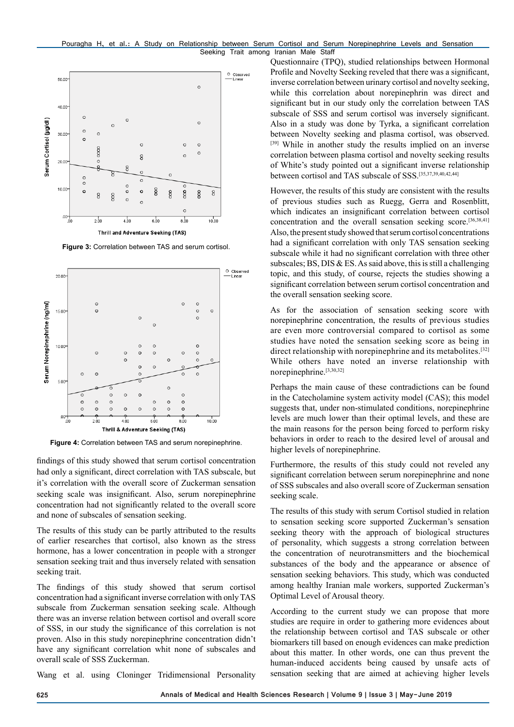

**Figure 3:** Correlation between TAS and serum cortisol.



**Figure 4:** Correlation between TAS and serum norepinephrine.

findings of this study showed that serum cortisol concentration had only a significant, direct correlation with TAS subscale, but it's correlation with the overall score of Zuckerman sensation seeking scale was insignificant. Also, serum norepinephrine concentration had not significantly related to the overall score and none of subscales of sensation seeking.

The results of this study can be partly attributed to the results of earlier researches that cortisol, also known as the stress hormone, has a lower concentration in people with a stronger sensation seeking trait and thus inversely related with sensation seeking trait.

The findings of this study showed that serum cortisol concentration had a significant inverse correlation with only TAS subscale from Zuckerman sensation seeking scale. Although there was an inverse relation between cortisol and overall score of SSS, in our study the significance of this correlation is not proven. Also in this study norepinephrine concentration didn't have any significant correlation whit none of subscales and overall scale of SSS Zuckerman.

Wang et al. using Cloninger Tridimensional Personality

Questionnaire (TPQ), studied relationships between Hormonal Profile and Novelty Seeking reveled that there was a significant, inverse correlation between urinary cortisol and novelty seeking, while this correlation about norepinephrin was direct and significant but in our study only the correlation between TAS subscale of SSS and serum cortisol was inversely significant. Also in a study was done by Tyrka, a significant correlation between Novelty seeking and plasma cortisol, was observed. [39] While in another study the results implied on an inverse correlation between plasma cortisol and novelty seeking results of White's study pointed out a significant inverse relationship between cortisol and TAS subscale of SSS.[35,37,39,40,42,44]

However, the results of this study are consistent with the results of previous studies such as Ruegg, Gerra and Rosenblitt, which indicates an insignificant correlation between cortisol concentration and the overall sensation seeking score.[36,38,41] Also, the present study showed that serum cortisol concentrations had a significant correlation with only TAS sensation seeking subscale while it had no significant correlation with three other subscales; BS, DIS  $&ES$ . As said above, this is still a challenging topic, and this study, of course, rejects the studies showing a significant correlation between serum cortisol concentration and the overall sensation seeking score.

As for the association of sensation seeking score with norepinephrine concentration, the results of previous studies are even more controversial compared to cortisol as some studies have noted the sensation seeking score as being in direct relationship with norepinephrine and its metabolites.<sup>[32]</sup> While others have noted an inverse relationship with norepinephrine.[3,30,32]

Perhaps the main cause of these contradictions can be found in the Catecholamine system activity model (CAS); this model suggests that, under non-stimulated conditions, norepinephrine levels are much lower than their optimal levels, and these are the main reasons for the person being forced to perform risky behaviors in order to reach to the desired level of arousal and higher levels of norepinephrine.

Furthermore, the results of this study could not reveled any significant correlation between serum norepinephrine and none of SSS subscales and also overall score of Zuckerman sensation seeking scale.

The results of this study with serum Cortisol studied in relation to sensation seeking score supported Zuckerman's sensation seeking theory with the approach of biological structures of personality, which suggests a strong correlation between the concentration of neurotransmitters and the biochemical substances of the body and the appearance or absence of sensation seeking behaviors. This study, which was conducted among healthy Iranian male workers, supported Zuckerman's Optimal Level of Arousal theory.

According to the current study we can propose that more studies are require in order to gathering more evidences about the relationship between cortisol and TAS subscale or other biomarkers till based on enough evidences can make prediction about this matter. In other words, one can thus prevent the human-induced accidents being caused by unsafe acts of sensation seeking that are aimed at achieving higher levels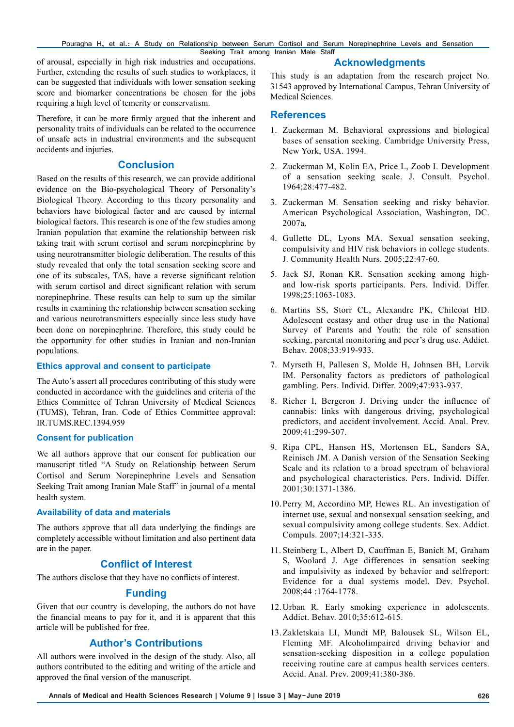Pouragha H, et al.: A Study on Relationship between Serum Cortisol and Serum Norepinephrine Levels and Sensation Seeking Trait among Iranian Male Staff

of arousal, especially in high risk industries and occupations. Further, extending the results of such studies to workplaces, it can be suggested that individuals with lower sensation seeking score and biomarker concentrations be chosen for the jobs requiring a high level of temerity or conservatism.

Therefore, it can be more firmly argued that the inherent and personality traits of individuals can be related to the occurrence of unsafe acts in industrial environments and the subsequent accidents and injuries.

# **Conclusion**

Based on the results of this research, we can provide additional evidence on the Bio-psychological Theory of Personality's Biological Theory. According to this theory personality and behaviors have biological factor and are caused by internal biological factors. This research is one of the few studies among Iranian population that examine the relationship between risk taking trait with serum cortisol and serum norepinephrine by using neurotransmitter biologic deliberation. The results of this study revealed that only the total sensation seeking score and one of its subscales, TAS, have a reverse significant relation with serum cortisol and direct significant relation with serum norepinephrine. These results can help to sum up the similar results in examining the relationship between sensation seeking and various neurotransmitters especially since less study have been done on norepinephrine. Therefore, this study could be the opportunity for other studies in Iranian and non-Iranian populations.

#### **Ethics approval and consent to participate**

The Auto's assert all procedures contributing of this study were conducted in accordance with the guidelines and criteria of the Ethics Committee of Tehran University of Medical Sciences (TUMS), Tehran, Iran. Code of Ethics Committee approval: IR.TUMS.REC.1394.959

### **Consent for publication**

We all authors approve that our consent for publication our manuscript titled "A Study on Relationship between Serum Cortisol and Serum Norepinephrine Levels and Sensation Seeking Trait among Iranian Male Staff" in journal of a mental health system.

### **Availability of data and materials**

The authors approve that all data underlying the findings are completely accessible without limitation and also pertinent data are in the paper.

# **Conflict of Interest**

The authors disclose that they have no conflicts of interest.

### **Funding**

Given that our country is developing, the authors do not have the financial means to pay for it, and it is apparent that this article will be published for free.

# **Author's Contributions**

All authors were involved in the design of the study. Also, all authors contributed to the editing and writing of the article and approved the final version of the manuscript.

#### **Acknowledgments**

This study is an adaptation from the research project No. 31543 approved by International Campus, Tehran University of Medical Sciences.

# **References**

- 1. Zuckerman M. Behavioral expressions and biological bases of sensation seeking. Cambridge University Press, New York, USA. 1994.
- 2. Zuckerman M, Kolin EA, Price L, Zoob I. Development of a sensation seeking scale. J. Consult. Psychol. 1964;28:477-482.
- 3. Zuckerman M. Sensation seeking and risky behavior. American Psychological Association, Washington, DC. 2007a.
- 4. Gullette DL, Lyons MA. Sexual sensation seeking, compulsivity and HIV risk behaviors in college students. J. Community Health Nurs. 2005;22:47-60.
- 5. Jack SJ, Ronan KR. Sensation seeking among highand low-risk sports participants. Pers. Individ. Differ. 1998;25:1063-1083.
- 6. Martins SS, Storr CL, Alexandre PK, Chilcoat HD. Adolescent ecstasy and other drug use in the National Survey of Parents and Youth: the role of sensation seeking, parental monitoring and peer's drug use. Addict. Behav. 2008;33:919-933.
- 7. Myrseth H, Pallesen S, Molde H, Johnsen BH, Lorvik IM. Personality factors as predictors of pathological gambling. Pers. Individ. Differ. 2009;47:933-937.
- 8. Richer I, Bergeron J. Driving under the influence of cannabis: links with dangerous driving, psychological predictors, and accident involvement. Accid. Anal. Prev. 2009;41:299-307.
- 9. Ripa CPL, Hansen HS, Mortensen EL, Sanders SA, Reinisch JM. A Danish version of the Sensation Seeking Scale and its relation to a broad spectrum of behavioral and psychological characteristics. Pers. Individ. Differ. 2001;30:1371-1386.
- 10.Perry M, Accordino MP, Hewes RL. An investigation of internet use, sexual and nonsexual sensation seeking, and sexual compulsivity among college students. Sex. Addict. Compuls. 2007;14:321-335.
- 11. Steinberg L, Albert D, Cauffman E, Banich M, Graham S, Woolard J. Age differences in sensation seeking and impulsivity as indexed by behavior and selfreport: Evidence for a dual systems model. Dev. Psychol. 2008;44 :1764-1778.
- 12.Urban R. Early smoking experience in adolescents. Addict. Behav. 2010;35:612-615.
- 13.Zakletskaia LI, Mundt MP, Balousek SL, Wilson EL, Fleming MF. Alcoholimpaired driving behavior and sensation-seeking disposition in a college population receiving routine care at campus health services centers. Accid. Anal. Prev. 2009;41:380-386.

**Annals of Medical and Health Sciences Research | Volume 9 | Issue 3 | May-June 2019 626**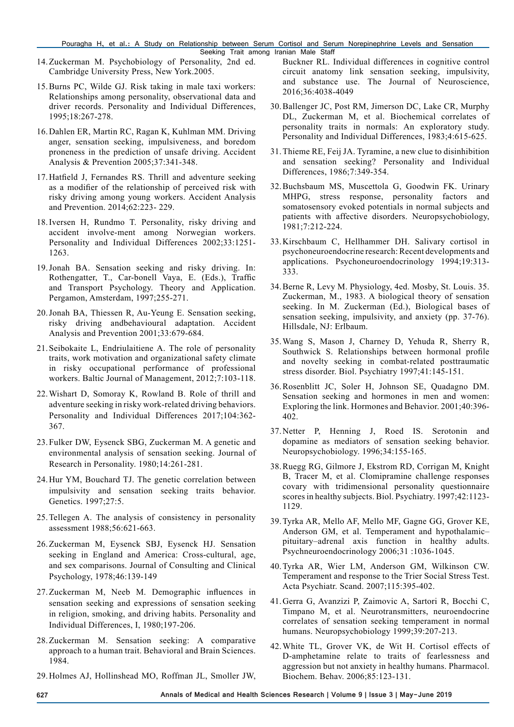- 14.Zuckerman M. Psychobiology of Personality, 2nd ed. Cambridge University Press, New York.2005.
- 15.Burns PC, Wilde GJ. Risk taking in male taxi workers: Relationships among personality, observational data and driver records. Personality and Individual Differences, 1995;18:267-278.
- 16.Dahlen ER, Martin RC, Ragan K, Kuhlman MM. Driving anger, sensation seeking, impulsiveness, and boredom proneness in the prediction of unsafe driving. Accident Analysis & Prevention 2005;37:341-348.
- 17.Hatfield J, Fernandes RS. Thrill and adventure seeking as a modifier of the relationship of perceived risk with risky driving among young workers. Accident Analysis and Prevention. 2014;62:223- 229.
- 18.Iversen H, Rundmo T. Personality, risky driving and accident involve-ment among Norwegian workers. Personality and Individual Differences 2002;33:1251- 1263.
- 19.Jonah BA. Sensation seeking and risky driving. In: Rothengatter, T., Car-bonell Vaya, E. (Eds.), Traffic and Transport Psychology. Theory and Application. Pergamon, Amsterdam, 1997;255-271.
- 20.Jonah BA, Thiessen R, Au-Yeung E. Sensation seeking, risky driving andbehavioural adaptation. Accident Analysis and Prevention 2001;33:679-684.
- 21.Seibokaite L, Endriulaitiene A. The role of personality traits, work motivation and organizational safety climate in risky occupational performance of professional workers. Baltic Journal of Management, 2012;7:103-118.
- 22.Wishart D, Somoray K, Rowland B. Role of thrill and adventure seeking in risky work-related driving behaviors. Personality and Individual Differences 2017;104:362- 367.
- 23.Fulker DW, Eysenck SBG, Zuckerman M. A genetic and environmental analysis of sensation seeking. Journal of Research in Personality. 1980;14:261-281.
- 24.Hur YM, Bouchard TJ. The genetic correlation between impulsivity and sensation seeking traits behavior. Genetics. 1997;27:5.
- 25.Tellegen A. The analysis of consistency in personality assessment 1988;56:621-663.
- 26.Zuckerman M, Eysenck SBJ, Eysenck HJ. Sensation seeking in England and America: Cross-cultural, age, and sex comparisons. Journal of Consulting and Clinical Psychology, 1978;46:139-149
- 27.Zuckerman M, Neeb M. Demographic influences in sensation seeking and expressions of sensation seeking in religion, smoking, and driving habits. Personality and Individual Differences, I, 1980;197-206.
- 28.Zuckerman M. Sensation seeking: A comparative approach to a human trait. Behavioral and Brain Sciences. 1984.
- 29.Holmes AJ, Hollinshead MO, Roffman JL, Smoller JW,

Buckner RL. Individual differences in cognitive control circuit anatomy link sensation seeking, impulsivity, and substance use. The Journal of Neuroscience, 2016;36:4038-4049

- 30.Ballenger JC, Post RM, Jimerson DC, Lake CR, Murphy DL, Zuckerman M, et al. Biochemical correlates of personality traits in normals: An exploratory study. Personality and Individual Differences, 1983;4:615-625.
- 31.Thieme RE, Feij JA. Tyramine, a new clue to disinhibition and sensation seeking? Personality and Individual Differences, 1986;7:349-354.
- 32.Buchsbaum MS, Muscettola G, Goodwin FK. Urinary MHPG, stress response, personality factors and somatosensory evoked potentials in normal subjects and patients with affective disorders. Neuropsychobiology, 1981;7:212-224.
- 33.Kirschbaum C, Hellhammer DH. Salivary cortisol in psychoneuroendocrine research: Recent developments and applications. Psychoneuroendocrinology 1994;19:313- 333.
- 34.Berne R, Levy M. Physiology, 4ed. Mosby, St. Louis. 35. Zuckerman, M., 1983. A biological theory of sensation seeking. In M. Zuckerman (Ed.), Biological bases of sensation seeking, impulsivity, and anxiety (pp. 37-76). Hillsdale, NJ: Erlbaum.
- 35.Wang S, Mason J, Charney D, Yehuda R, Sherry R, Southwick S. Relationships between hormonal profile and novelty seeking in combat-related posttraumatic stress disorder. Biol. Psychiatry 1997;41:145-151.
- 36.Rosenblitt JC, Soler H, Johnson SE, Quadagno DM. Sensation seeking and hormones in men and women: Exploring the link. Hormones and Behavior. 2001;40:396- 402.
- 37.Netter P, Henning J, Roed IS. Serotonin and dopamine as mediators of sensation seeking behavior. Neuropsychobiology. 1996;34:155-165.
- 38.Ruegg RG, Gilmore J, Ekstrom RD, Corrigan M, Knight B, Tracer M, et al. Clomipramine challenge responses covary with tridimensional personality questionnaire scores in healthy subjects. Biol. Psychiatry. 1997;42:1123- 1129.
- 39.Tyrka AR, Mello AF, Mello MF, Gagne GG, Grover KE, Anderson GM, et al. Temperament and hypothalamic– pituitary–adrenal axis function in healthy adults. Psychneuroendocrinology 2006;31 :1036-1045.
- 40.Tyrka AR, Wier LM, Anderson GM, Wilkinson CW. Temperament and response to the Trier Social Stress Test. Acta Psychiatr. Scand. 2007;115:395-402.
- 41.Gerra G, Avanzizi P, Zaimovic A, Sartori R, Bocchi C, Timpano M, et al. Neurotransmitters, neuroendocrine correlates of sensation seeking temperament in normal humans. Neuropsychobiology 1999;39:207-213.
- 42.White TL, Grover VK, de Wit H. Cortisol effects of D-amphetamine relate to traits of fearlessness and aggression but not anxiety in healthy humans. Pharmacol. Biochem. Behav. 2006;85:123-131.